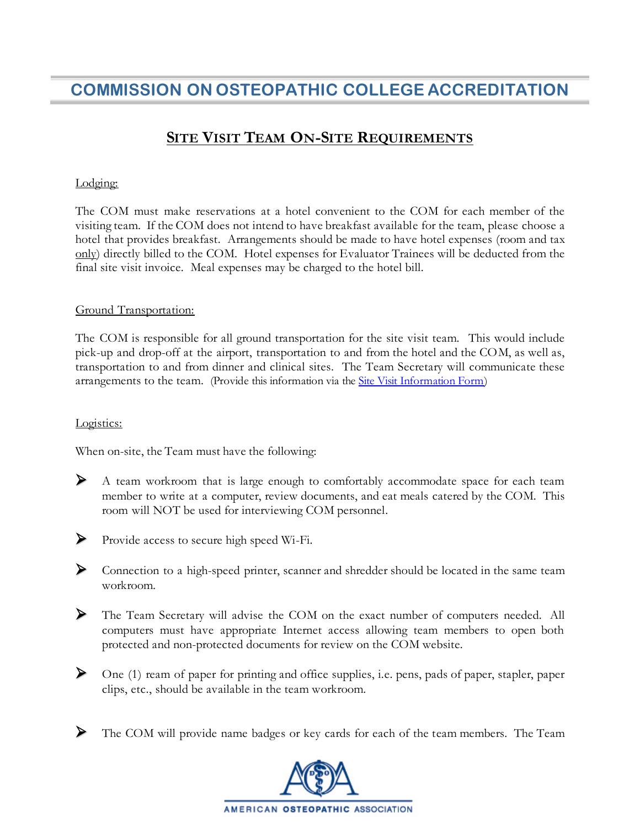# **COMMISSION ON OSTEOPATHIC COLLEGE ACCREDITATION**

# **SITE VISIT TEAM ON-SITE REQUIREMENTS**

## Lodging:

The COM must make reservations at a hotel convenient to the COM for each member of the visiting team. If the COM does not intend to have breakfast available for the team, please choose a hotel that provides breakfast. Arrangements should be made to have hotel expenses (room and tax only) directly billed to the COM. Hotel expenses for Evaluator Trainees will be deducted from the final site visit invoice. Meal expenses may be charged to the hotel bill.

#### Ground Transportation:

The COM is responsible for all ground transportation for the site visit team. This would include pick-up and drop-off at the airport, transportation to and from the hotel and the COM, as well as, transportation to and from dinner and clinical sites. The Team Secretary will communicate these arrangements to the team. (Provide this information via the [Site Visit Information Form](https://osteopathic.org/wp-content/uploads/coca-site-visit-information-form.pdf))

#### Logistics:

When on-site, the Team must have the following:

 A team workroom that is large enough to comfortably accommodate space for each team member to write at a computer, review documents, and eat meals catered by the COM. This room will NOT be used for interviewing COM personnel.



Provide access to secure high speed Wi-Fi.

- Connection to a high-speed printer, scanner and shredder should be located in the same team workroom.
- The Team Secretary will advise the COM on the exact number of computers needed. All computers must have appropriate Internet access allowing team members to open both protected and non-protected documents for review on the COM website.
- One (1) ream of paper for printing and office supplies, i.e. pens, pads of paper, stapler, paper clips, etc., should be available in the team workroom.
- The COM will provide name badges or key cards for each of the team members. The Team